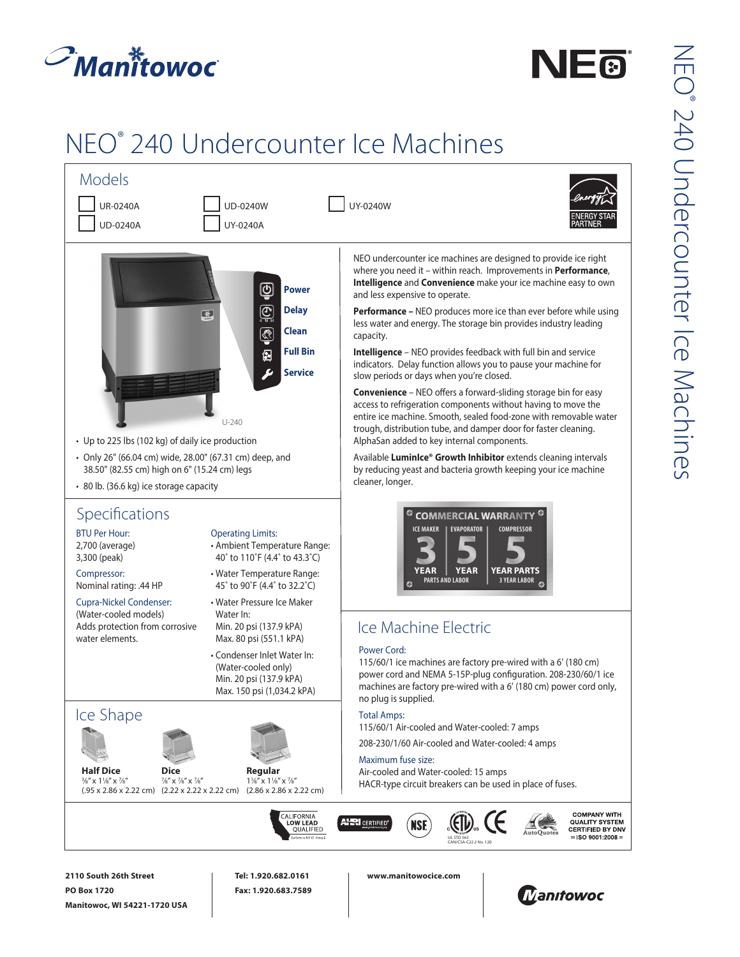





NE®®